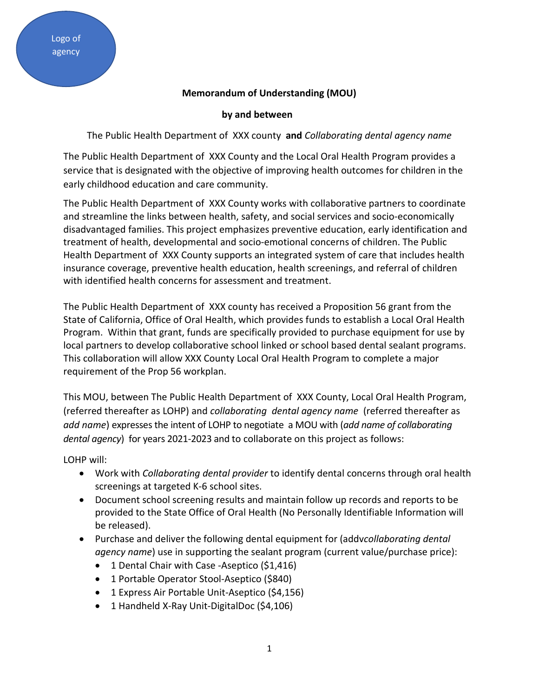## **Memorandum of Understanding (MOU)**

## **by and between**

The Public Health Department of XXX county **and** *Collaborating dental agency name*

The Public Health Department of XXX County and the Local Oral Health Program provides a service that is designated with the objective of improving health outcomes for children in the early childhood education and care community.

The Public Health Department of XXX County works with collaborative partners to coordinate and streamline the links between health, safety, and social services and socio-economically disadvantaged families. This project emphasizes preventive education, early identification and treatment of health, developmental and socio-emotional concerns of children. The Public Health Department of XXX County supports an integrated system of care that includes health insurance coverage, preventive health education, health screenings, and referral of children with identified health concerns for assessment and treatment.

The Public Health Department of XXX county has received a Proposition 56 grant from the State of California, Office of Oral Health, which provides funds to establish a Local Oral Health Program. Within that grant, funds are specifically provided to purchase equipment for use by local partners to develop collaborative school linked or school based dental sealant programs. This collaboration will allow XXX County Local Oral Health Program to complete a major requirement of the Prop 56 workplan.

This MOU, between The Public Health Department of XXX County, Local Oral Health Program, (referred thereafter as LOHP) and *collaborating dental agency name* (referred thereafter as *add name*) expresses the intent of LOHP to negotiate a MOU with (*add name of collaborating dental agency*) for years 2021-2023 and to collaborate on this project as follows:

LOHP will:

- Work with *Collaborating dental provider* to identify dental concerns through oral health screenings at targeted K-6 school sites.
- Document school screening results and maintain follow up records and reports to be provided to the State Office of Oral Health (No Personally Identifiable Information will be released).
- Purchase and deliver the following dental equipment for (addv*collaborating dental agency name*) use in supporting the sealant program (current value/purchase price):
	- 1 Dental Chair with Case -Aseptico (\$1,416)
	- 1 Portable Operator Stool-Aseptico (\$840)
	- 1 Express Air Portable Unit-Aseptico (\$4,156)
	- 1 Handheld X-Ray Unit-DigitalDoc (\$4,106)